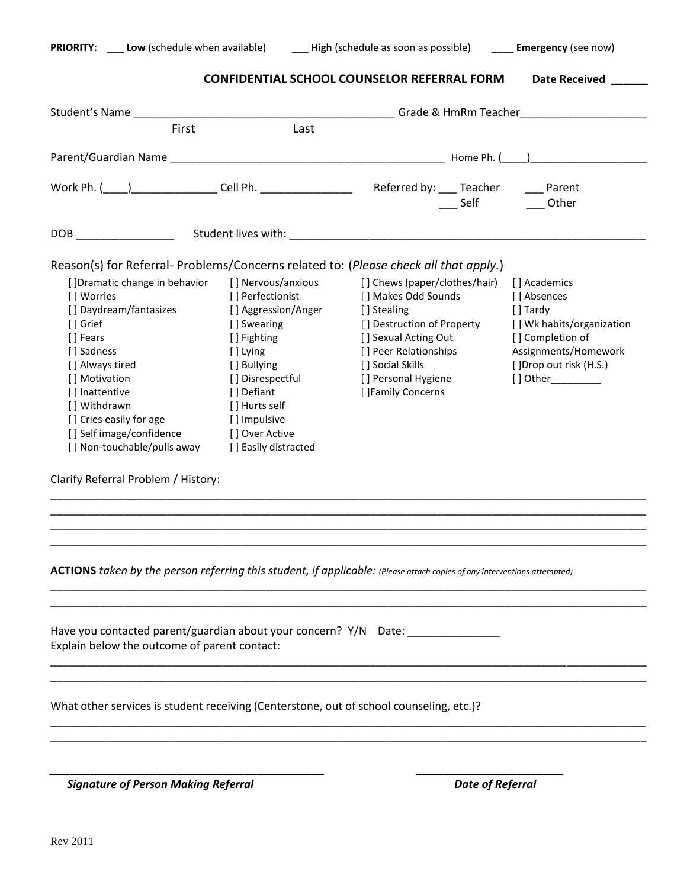|                                                                                      |                      | <b>CONFIDENTIAL SCHOOL COUNSELOR REFERRAL FORM</b> | <b>Date Received</b>      |  |  |
|--------------------------------------------------------------------------------------|----------------------|----------------------------------------------------|---------------------------|--|--|
|                                                                                      |                      |                                                    |                           |  |  |
| First                                                                                | Last                 |                                                    |                           |  |  |
|                                                                                      |                      |                                                    |                           |  |  |
| Work Ph. (Champion Cell Ph. Collect Ph. 2001) Referred by: Castles Contains Parent   |                      | $\_$ Self                                          | Other                     |  |  |
|                                                                                      |                      |                                                    |                           |  |  |
| Reason(s) for Referral- Problems/Concerns related to: (Please check all that apply.) |                      |                                                    |                           |  |  |
|                                                                                      |                      |                                                    |                           |  |  |
| [] Dramatic change in behavior                                                       | [] Nervous/anxious   | [] Chews (paper/clothes/hair)                      | [ ] Academics             |  |  |
| [] Worries                                                                           | [] Perfectionist     | [] Makes Odd Sounds                                | [ ] Absences              |  |  |
| [] Daydream/fantasizes                                                               | [ ] Aggression/Anger | [] Stealing                                        | [] Tardy                  |  |  |
| [ ] Grief                                                                            | [] Swearing          | [] Destruction of Property                         |                           |  |  |
| [] Fears                                                                             | [] Fighting          | [] Sexual Acting Out                               | [] Completion of          |  |  |
| [ ] Sadness                                                                          | [ ] Lying            | [] Peer Relationships                              | Assignments/Homework      |  |  |
| [] Always tired                                                                      | [ ] Bullying         | [] Social Skills                                   | []Drop out risk (H.S.)    |  |  |
| [] Motivation                                                                        | [ ] Disrespectful    | [] Personal Hygiene                                | $[ ]$ Other               |  |  |
| [] Inattentive                                                                       | [] Defiant           | [ ]Family Concerns                                 | [] Wk habits/organization |  |  |
| [] Withdrawn                                                                         | [ ] Hurts self       |                                                    |                           |  |  |
| [] Cries easily for age                                                              | [] Impulsive         |                                                    |                           |  |  |
| [] Self image/confidence                                                             | [] Over Active       |                                                    |                           |  |  |

\_\_\_\_\_\_\_\_\_\_\_\_\_\_\_\_\_\_\_\_\_\_\_\_\_\_\_\_\_\_\_\_\_\_\_\_\_\_\_\_\_\_\_\_\_\_\_\_\_\_\_\_\_\_\_\_\_\_\_\_\_\_\_\_\_\_\_\_\_\_\_\_\_\_\_\_\_\_\_\_\_\_\_\_\_\_\_\_\_\_\_\_\_\_\_\_\_ \_\_\_\_\_\_\_\_\_\_\_\_\_\_\_\_\_\_\_\_\_\_\_\_\_\_\_\_\_\_\_\_\_\_\_\_\_\_\_\_\_\_\_\_\_\_\_\_\_\_\_\_\_\_\_\_\_\_\_\_\_\_\_\_\_\_\_\_\_\_\_\_\_\_\_\_\_\_\_\_\_\_\_\_\_\_\_\_\_\_\_\_\_\_\_\_\_ \_\_\_\_\_\_\_\_\_\_\_\_\_\_\_\_\_\_\_\_\_\_\_\_\_\_\_\_\_\_\_\_\_\_\_\_\_\_\_\_\_\_\_\_\_\_\_\_\_\_\_\_\_\_\_\_\_\_\_\_\_\_\_\_\_\_\_\_\_\_\_\_\_\_\_\_\_\_\_\_\_\_\_\_\_\_\_\_\_\_\_\_\_\_\_\_\_ \_\_\_\_\_\_\_\_\_\_\_\_\_\_\_\_\_\_\_\_\_\_\_\_\_\_\_\_\_\_\_\_\_\_\_\_\_\_\_\_\_\_\_\_\_\_\_\_\_\_\_\_\_\_\_\_\_\_\_\_\_\_\_\_\_\_\_\_\_\_\_\_\_\_\_\_\_\_\_\_\_\_\_\_\_\_\_\_\_\_\_\_\_\_\_\_\_

\_\_\_\_\_\_\_\_\_\_\_\_\_\_\_\_\_\_\_\_\_\_\_\_\_\_\_\_\_\_\_\_\_\_\_\_\_\_\_\_\_\_\_\_\_\_\_\_\_\_\_\_\_\_\_\_\_\_\_\_\_\_\_\_\_\_\_\_\_\_\_\_\_\_\_\_\_\_\_\_\_\_\_\_\_\_\_\_\_\_\_\_\_\_\_\_\_ \_\_\_\_\_\_\_\_\_\_\_\_\_\_\_\_\_\_\_\_\_\_\_\_\_\_\_\_\_\_\_\_\_\_\_\_\_\_\_\_\_\_\_\_\_\_\_\_\_\_\_\_\_\_\_\_\_\_\_\_\_\_\_\_\_\_\_\_\_\_\_\_\_\_\_\_\_\_\_\_\_\_\_\_\_\_\_\_\_\_\_\_\_\_\_\_\_

\_\_\_\_\_\_\_\_\_\_\_\_\_\_\_\_\_\_\_\_\_\_\_\_\_\_\_\_\_\_\_\_\_\_\_\_\_\_\_\_\_\_\_\_\_\_\_\_\_\_\_\_\_\_\_\_\_\_\_\_\_\_\_\_\_\_\_\_\_\_\_\_\_\_\_\_\_\_\_\_\_\_\_\_\_\_\_\_\_\_\_\_\_\_\_\_\_ \_\_\_\_\_\_\_\_\_\_\_\_\_\_\_\_\_\_\_\_\_\_\_\_\_\_\_\_\_\_\_\_\_\_\_\_\_\_\_\_\_\_\_\_\_\_\_\_\_\_\_\_\_\_\_\_\_\_\_\_\_\_\_\_\_\_\_\_\_\_\_\_\_\_\_\_\_\_\_\_\_\_\_\_\_\_\_\_\_\_\_\_\_\_\_\_\_

\_\_\_\_\_\_\_\_\_\_\_\_\_\_\_\_\_\_\_\_\_\_\_\_\_\_\_\_\_\_\_\_\_\_\_\_\_\_\_\_\_\_\_\_\_\_\_\_\_\_\_\_\_\_\_\_\_\_\_\_\_\_\_\_\_\_\_\_\_\_\_\_\_\_\_\_\_\_\_\_\_\_\_\_\_\_\_\_\_\_\_\_\_\_\_\_\_ \_\_\_\_\_\_\_\_\_\_\_\_\_\_\_\_\_\_\_\_\_\_\_\_\_\_\_\_\_\_\_\_\_\_\_\_\_\_\_\_\_\_\_\_\_\_\_\_\_\_\_\_\_\_\_\_\_\_\_\_\_\_\_\_\_\_\_\_\_\_\_\_\_\_\_\_\_\_\_\_\_\_\_\_\_\_\_\_\_\_\_\_\_\_\_\_\_

Clarify Referral Problem / History:

**ACTIONS** *taken by the person referring this student, if applicable: (Please attach copies of any interventions attempted)*

*\_\_\_\_\_\_\_\_\_\_\_\_\_\_\_\_\_\_\_\_\_\_\_\_\_\_\_\_\_\_\_\_\_\_\_\_\_\_\_\_\_ \_\_\_\_\_\_\_\_\_\_\_\_\_\_\_\_\_\_\_\_\_\_*

Have you contacted parent/guardian about your concern? Y/N Date: \_\_\_\_\_\_\_\_\_\_\_\_\_\_\_ Explain below the outcome of parent contact:

What other services is student receiving (Centerstone, out of school counseling, etc.)?

 *Signature of Person Making Referral Date of Referral*